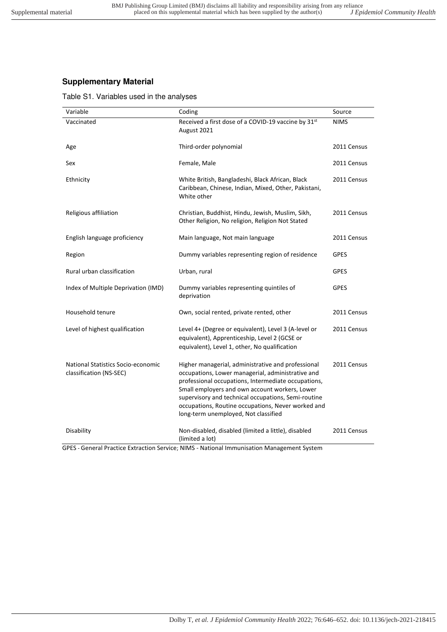## **Supplementary Material**

Table S1. Variables used in the analyses

| Variable                                                      | Coding                                                                                                                                                                                                                                                                                                                                                                | Source      |
|---------------------------------------------------------------|-----------------------------------------------------------------------------------------------------------------------------------------------------------------------------------------------------------------------------------------------------------------------------------------------------------------------------------------------------------------------|-------------|
| Vaccinated                                                    | Received a first dose of a COVID-19 vaccine by 31st<br>August 2021                                                                                                                                                                                                                                                                                                    | <b>NIMS</b> |
| Age                                                           | Third-order polynomial                                                                                                                                                                                                                                                                                                                                                | 2011 Census |
| Sex                                                           | Female, Male                                                                                                                                                                                                                                                                                                                                                          | 2011 Census |
| Ethnicity                                                     | White British, Bangladeshi, Black African, Black<br>Caribbean, Chinese, Indian, Mixed, Other, Pakistani,<br>White other                                                                                                                                                                                                                                               | 2011 Census |
| Religious affiliation                                         | Christian, Buddhist, Hindu, Jewish, Muslim, Sikh,<br>Other Religion, No religion, Religion Not Stated                                                                                                                                                                                                                                                                 | 2011 Census |
| English language proficiency                                  | Main language, Not main language                                                                                                                                                                                                                                                                                                                                      | 2011 Census |
| Region                                                        | Dummy variables representing region of residence                                                                                                                                                                                                                                                                                                                      | <b>GPES</b> |
| Rural urban classification                                    | Urban, rural                                                                                                                                                                                                                                                                                                                                                          | <b>GPES</b> |
| Index of Multiple Deprivation (IMD)                           | Dummy variables representing quintiles of<br>deprivation                                                                                                                                                                                                                                                                                                              | <b>GPES</b> |
| Household tenure                                              | Own, social rented, private rented, other                                                                                                                                                                                                                                                                                                                             | 2011 Census |
| Level of highest qualification                                | Level 4+ (Degree or equivalent), Level 3 (A-level or<br>equivalent), Apprenticeship, Level 2 (GCSE or<br>equivalent), Level 1, other, No qualification                                                                                                                                                                                                                | 2011 Census |
| National Statistics Socio-economic<br>classification (NS-SEC) | Higher managerial, administrative and professional<br>occupations, Lower managerial, administrative and<br>professional occupations, Intermediate occupations,<br>Small employers and own account workers, Lower<br>supervisory and technical occupations, Semi-routine<br>occupations, Routine occupations, Never worked and<br>long-term unemployed, Not classified | 2011 Census |
| Disability                                                    | Non-disabled, disabled (limited a little), disabled<br>(limited a lot)                                                                                                                                                                                                                                                                                                | 2011 Census |

GPES - General Practice Extraction Service; NIMS - National Immunisation Management System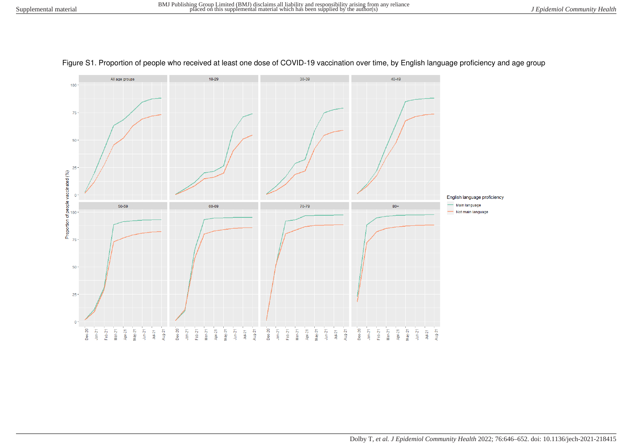

Figure S1. Proportion of people who received at least one dose of COVID-19 vaccination over time, by English language proficiency and age group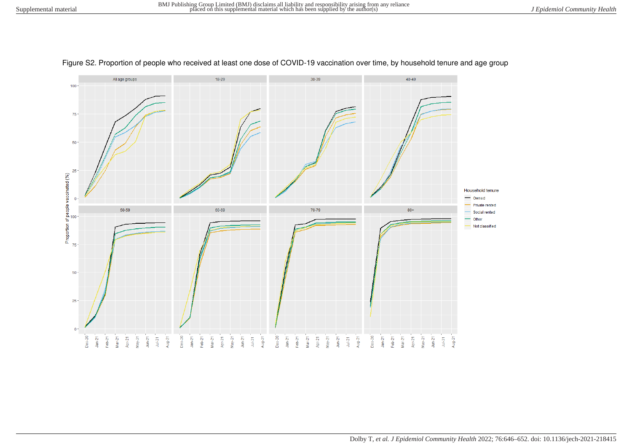

## Figure S2. Proportion of people who received at least one dose of COVID-19 vaccination over time, by household tenure and age group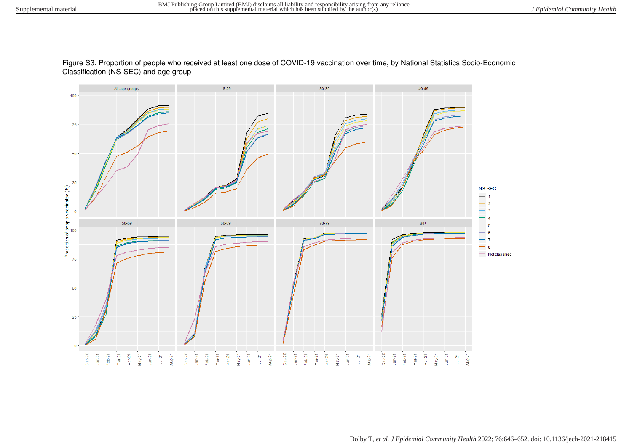